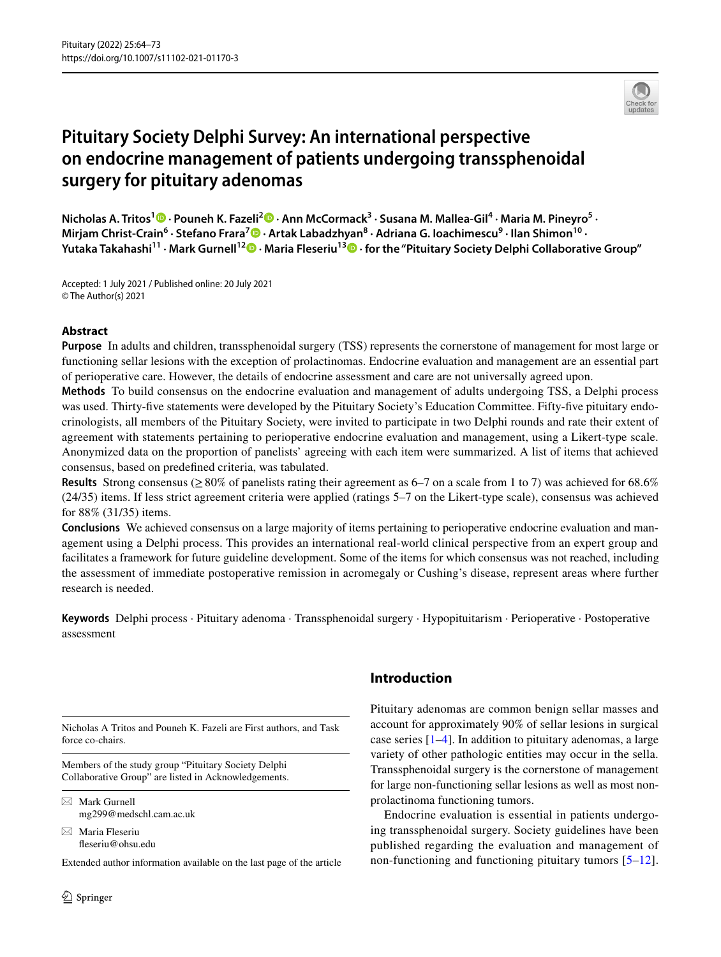

# **Pituitary Society Delphi Survey: An international perspective on endocrine management of patients undergoing transsphenoidal surgery for pituitary adenomas**

**Nicholas A. Tritos1 · Pouneh K. Fazeli2 · Ann McCormack3 · Susana M. Mallea‑Gil4 · Maria M. Pineyro5 · Mirjam Christ‑Crain<sup>6</sup> · Stefano Frara7 · Artak Labadzhyan8 · Adriana G. Ioachimescu9 · Ilan Shimon10 · Yutaka Takahashi11 · Mark Gurnell12  [·](http://orcid.org/0000-0001-5745-6832) Maria Fleseriu13 · for the "Pituitary Society Delphi Collaborative Group"**

Accepted: 1 July 2021 / Published online: 20 July 2021 © The Author(s) 2021

## **Abstract**

**Purpose** In adults and children, transsphenoidal surgery (TSS) represents the cornerstone of management for most large or functioning sellar lesions with the exception of prolactinomas. Endocrine evaluation and management are an essential part of perioperative care. However, the details of endocrine assessment and care are not universally agreed upon.

**Methods** To build consensus on the endocrine evaluation and management of adults undergoing TSS, a Delphi process was used. Thirty-fve statements were developed by the Pituitary Society's Education Committee. Fifty-fve pituitary endocrinologists, all members of the Pituitary Society, were invited to participate in two Delphi rounds and rate their extent of agreement with statements pertaining to perioperative endocrine evaluation and management, using a Likert-type scale. Anonymized data on the proportion of panelists' agreeing with each item were summarized. A list of items that achieved consensus, based on predefned criteria, was tabulated.

**Results** Strong consensus ( $\geq 80\%$  of panelists rating their agreement as 6–7 on a scale from 1 to 7) was achieved for 68.6% (24/35) items. If less strict agreement criteria were applied (ratings 5–7 on the Likert-type scale), consensus was achieved for 88% (31/35) items.

**Conclusions** We achieved consensus on a large majority of items pertaining to perioperative endocrine evaluation and management using a Delphi process. This provides an international real-world clinical perspective from an expert group and facilitates a framework for future guideline development. Some of the items for which consensus was not reached, including the assessment of immediate postoperative remission in acromegaly or Cushing's disease, represent areas where further research is needed.

**Keywords** Delphi process · Pituitary adenoma · Transsphenoidal surgery · Hypopituitarism · Perioperative · Postoperative assessment

Nicholas A Tritos and Pouneh K. Fazeli are First authors, and Task force co-chairs.

Members of the study group "Pituitary Society Delphi Collaborative Group" are listed in Acknowledgements.

 $\boxtimes$  Mark Gurnell mg299@medschl.cam.ac.uk

 $\boxtimes$  Maria Fleseriu feseriu@ohsu.edu

Extended author information available on the last page of the article

# **Introduction**

Pituitary adenomas are common benign sellar masses and account for approximately 90% of sellar lesions in surgical case series  $[1-4]$  $[1-4]$  $[1-4]$ . In addition to pituitary adenomas, a large variety of other pathologic entities may occur in the sella. Transsphenoidal surgery is the cornerstone of management for large non-functioning sellar lesions as well as most nonprolactinoma functioning tumors.

Endocrine evaluation is essential in patients undergoing transsphenoidal surgery. Society guidelines have been published regarding the evaluation and management of non-functioning and functioning pituitary tumors [[5–](#page-8-2)[12](#page-8-3)].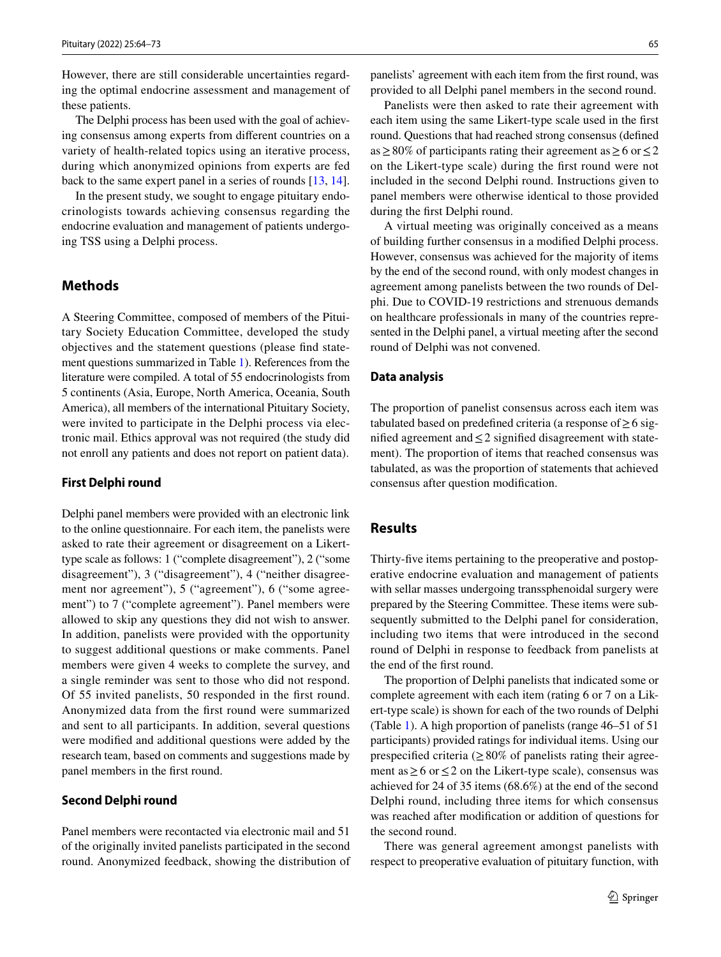However, there are still considerable uncertainties regarding the optimal endocrine assessment and management of these patients.

The Delphi process has been used with the goal of achieving consensus among experts from diferent countries on a variety of health-related topics using an iterative process, during which anonymized opinions from experts are fed back to the same expert panel in a series of rounds [\[13](#page-8-4), [14](#page-8-5)].

In the present study, we sought to engage pituitary endocrinologists towards achieving consensus regarding the endocrine evaluation and management of patients undergoing TSS using a Delphi process.

# **Methods**

A Steering Committee, composed of members of the Pituitary Society Education Committee, developed the study objectives and the statement questions (please fnd statement questions summarized in Table [1](#page-2-0)). References from the literature were compiled. A total of 55 endocrinologists from 5 continents (Asia, Europe, North America, Oceania, South America), all members of the international Pituitary Society, were invited to participate in the Delphi process via electronic mail. Ethics approval was not required (the study did not enroll any patients and does not report on patient data).

#### **First Delphi round**

Delphi panel members were provided with an electronic link to the online questionnaire. For each item, the panelists were asked to rate their agreement or disagreement on a Likerttype scale as follows: 1 ("complete disagreement"), 2 ("some disagreement"), 3 ("disagreement"), 4 ("neither disagreement nor agreement"), 5 ("agreement"), 6 ("some agreement") to 7 ("complete agreement"). Panel members were allowed to skip any questions they did not wish to answer. In addition, panelists were provided with the opportunity to suggest additional questions or make comments. Panel members were given 4 weeks to complete the survey, and a single reminder was sent to those who did not respond. Of 55 invited panelists, 50 responded in the frst round. Anonymized data from the frst round were summarized and sent to all participants. In addition, several questions were modifed and additional questions were added by the research team, based on comments and suggestions made by panel members in the frst round.

#### **Second Delphi round**

Panel members were recontacted via electronic mail and 51 of the originally invited panelists participated in the second round. Anonymized feedback, showing the distribution of

panelists' agreement with each item from the frst round, was provided to all Delphi panel members in the second round.

Panelists were then asked to rate their agreement with each item using the same Likert-type scale used in the frst round. Questions that had reached strong consensus (defned as  $\geq$  80% of participants rating their agreement as  $\geq$  6 or  $\leq$  2 on the Likert-type scale) during the frst round were not included in the second Delphi round. Instructions given to panel members were otherwise identical to those provided during the frst Delphi round.

A virtual meeting was originally conceived as a means of building further consensus in a modifed Delphi process. However, consensus was achieved for the majority of items by the end of the second round, with only modest changes in agreement among panelists between the two rounds of Delphi. Due to COVID-19 restrictions and strenuous demands on healthcare professionals in many of the countries represented in the Delphi panel, a virtual meeting after the second round of Delphi was not convened.

### **Data analysis**

The proportion of panelist consensus across each item was tabulated based on predefined criteria (a response of  $\geq 6$  signifed agreement and≤2 signifed disagreement with statement). The proportion of items that reached consensus was tabulated, as was the proportion of statements that achieved consensus after question modifcation.

# **Results**

Thirty-five items pertaining to the preoperative and postoperative endocrine evaluation and management of patients with sellar masses undergoing transsphenoidal surgery were prepared by the Steering Committee. These items were subsequently submitted to the Delphi panel for consideration, including two items that were introduced in the second round of Delphi in response to feedback from panelists at the end of the frst round.

The proportion of Delphi panelists that indicated some or complete agreement with each item (rating 6 or 7 on a Likert-type scale) is shown for each of the two rounds of Delphi (Table [1](#page-2-0)). A high proportion of panelists (range 46–51 of 51 participants) provided ratings for individual items. Using our prespecified criteria ( $\geq 80\%$  of panelists rating their agreement as  $\geq 6$  or  $\leq 2$  on the Likert-type scale), consensus was achieved for 24 of 35 items (68.6%) at the end of the second Delphi round, including three items for which consensus was reached after modifcation or addition of questions for the second round.

There was general agreement amongst panelists with respect to preoperative evaluation of pituitary function, with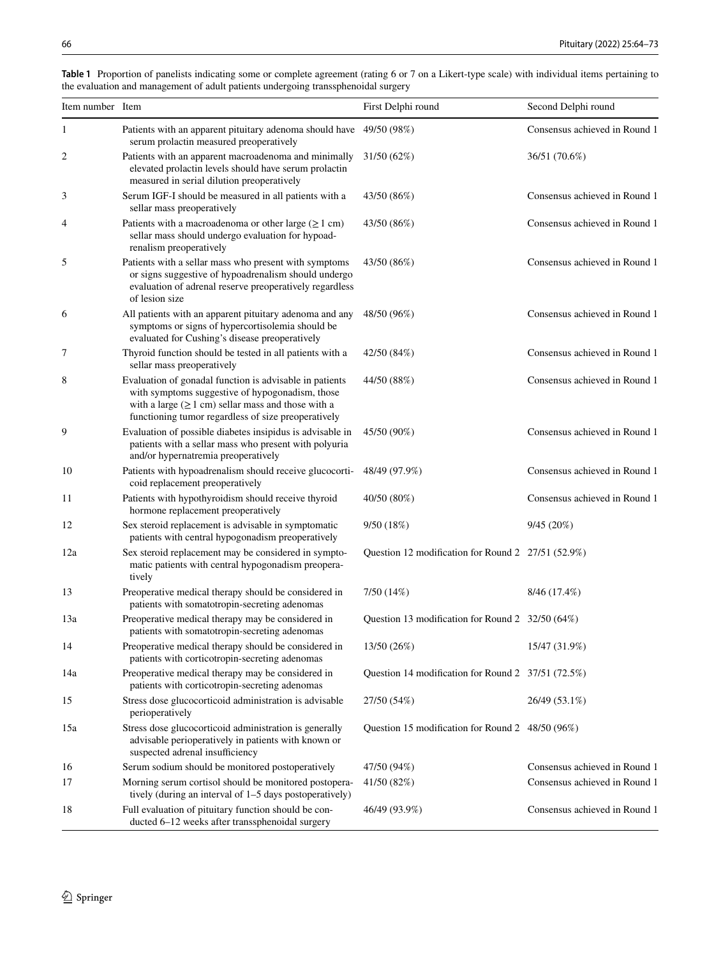| Item number Item |                                                                                                                                                                                                                              | First Delphi round                                 | Second Delphi round           |
|------------------|------------------------------------------------------------------------------------------------------------------------------------------------------------------------------------------------------------------------------|----------------------------------------------------|-------------------------------|
| 1                | Patients with an apparent pituitary adenoma should have 49/50 (98%)<br>serum prolactin measured preoperatively                                                                                                               |                                                    | Consensus achieved in Round 1 |
| 2                | Patients with an apparent macroadenoma and minimally<br>elevated prolactin levels should have serum prolactin<br>measured in serial dilution preoperatively                                                                  | 31/50(62%)                                         | 36/51 (70.6%)                 |
| 3                | Serum IGF-I should be measured in all patients with a<br>sellar mass preoperatively                                                                                                                                          | 43/50 (86%)                                        | Consensus achieved in Round 1 |
| 4                | Patients with a macroadenoma or other large $(\geq 1 \text{ cm})$<br>sellar mass should undergo evaluation for hypoad-<br>renalism preoperatively                                                                            | 43/50 (86%)                                        | Consensus achieved in Round 1 |
| 5                | Patients with a sellar mass who present with symptoms<br>or signs suggestive of hypoadrenalism should undergo<br>evaluation of adrenal reserve preoperatively regardless<br>of lesion size                                   | 43/50 (86%)                                        | Consensus achieved in Round 1 |
| 6                | All patients with an apparent pituitary adenoma and any<br>symptoms or signs of hypercortisolemia should be<br>evaluated for Cushing's disease preoperatively                                                                | 48/50 (96%)                                        | Consensus achieved in Round 1 |
| 7                | Thyroid function should be tested in all patients with a<br>sellar mass preoperatively                                                                                                                                       | 42/50 (84%)                                        | Consensus achieved in Round 1 |
| 8                | Evaluation of gonadal function is advisable in patients<br>with symptoms suggestive of hypogonadism, those<br>with a large $(\geq 1$ cm) sellar mass and those with a<br>functioning tumor regardless of size preoperatively | 44/50 (88%)                                        | Consensus achieved in Round 1 |
| 9                | Evaluation of possible diabetes insipidus is advisable in<br>patients with a sellar mass who present with polyuria<br>and/or hypernatremia preoperatively                                                                    | 45/50 (90%)                                        | Consensus achieved in Round 1 |
| 10               | Patients with hypoadrenalism should receive glucocorti-<br>coid replacement preoperatively                                                                                                                                   | 48/49 (97.9%)                                      | Consensus achieved in Round 1 |
| 11               | Patients with hypothyroidism should receive thyroid<br>hormone replacement preoperatively                                                                                                                                    | 40/50 (80%)                                        | Consensus achieved in Round 1 |
| 12               | Sex steroid replacement is advisable in symptomatic<br>patients with central hypogonadism preoperatively                                                                                                                     | 9/50(18%)                                          | 9/45(20%)                     |
| 12a              | Sex steroid replacement may be considered in sympto-<br>matic patients with central hypogonadism preopera-<br>tively                                                                                                         | Question 12 modification for Round 2 27/51 (52.9%) |                               |
| 13               | Preoperative medical therapy should be considered in<br>patients with somatotropin-secreting adenomas                                                                                                                        | 7/50 (14%)                                         | 8/46 (17.4%)                  |
| 13a              | Preoperative medical therapy may be considered in<br>patients with somatotropin-secreting adenomas                                                                                                                           | Question 13 modification for Round 2 32/50 (64%)   |                               |
| 14               | Preoperative medical therapy should be considered in<br>patients with corticotropin-secreting adenomas                                                                                                                       | 13/50 (26%)                                        | 15/47 (31.9%)                 |
| 14a              | Preoperative medical therapy may be considered in<br>patients with corticotropin-secreting adenomas                                                                                                                          | Question 14 modification for Round 2 37/51 (72.5%) |                               |
| 15               | Stress dose glucocorticoid administration is advisable<br>perioperatively                                                                                                                                                    | 27/50 (54%)                                        | 26/49 (53.1%)                 |
| 15a              | Stress dose glucocorticoid administration is generally<br>advisable perioperatively in patients with known or<br>suspected adrenal insufficiency                                                                             | Question 15 modification for Round 2 48/50 (96%)   |                               |
| 16               | Serum sodium should be monitored postoperatively                                                                                                                                                                             | 47/50 (94%)                                        | Consensus achieved in Round 1 |
| 17               | Morning serum cortisol should be monitored postopera-<br>tively (during an interval of 1–5 days postoperatively)                                                                                                             | 41/50 (82%)                                        | Consensus achieved in Round 1 |
| 18               | Full evaluation of pituitary function should be con-<br>ducted 6-12 weeks after transsphenoidal surgery                                                                                                                      | 46/49 (93.9%)                                      | Consensus achieved in Round 1 |

<span id="page-2-0"></span>**Table 1** Proportion of panelists indicating some or complete agreement (rating 6 or 7 on a Likert-type scale) with individual items pertaining to the evaluation and management of adult patients undergoing transsphenoidal surgery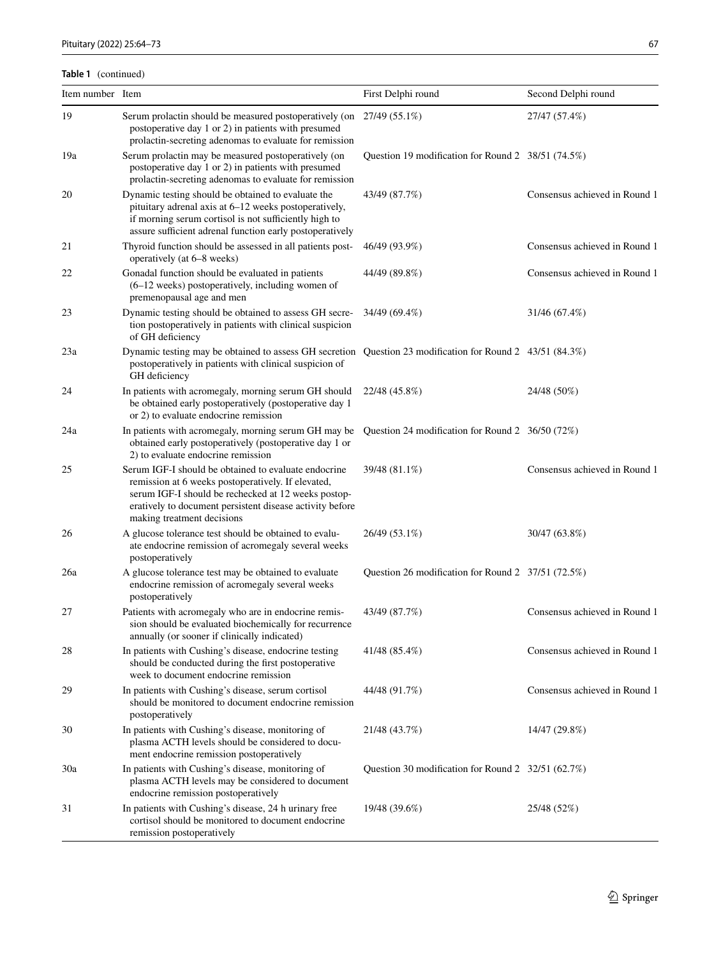## **Table 1** (continued)

| Item number Item |                                                                                                                                                                                                                                                             | First Delphi round                                 | Second Delphi round           |
|------------------|-------------------------------------------------------------------------------------------------------------------------------------------------------------------------------------------------------------------------------------------------------------|----------------------------------------------------|-------------------------------|
| 19               | Serum prolactin should be measured postoperatively (on 27/49 (55.1%)<br>postoperative day 1 or 2) in patients with presumed<br>prolactin-secreting adenomas to evaluate for remission                                                                       |                                                    | 27/47 (57.4%)                 |
| 19a              | Serum prolactin may be measured postoperatively (on<br>postoperative day 1 or 2) in patients with presumed<br>prolactin-secreting adenomas to evaluate for remission                                                                                        | Question 19 modification for Round 2 38/51 (74.5%) |                               |
| 20               | Dynamic testing should be obtained to evaluate the<br>pituitary adrenal axis at 6–12 weeks postoperatively,<br>if morning serum cortisol is not sufficiently high to<br>assure sufficient adrenal function early postoperatively                            | 43/49 (87.7%)                                      | Consensus achieved in Round 1 |
| 21               | Thyroid function should be assessed in all patients post-<br>operatively (at 6–8 weeks)                                                                                                                                                                     | 46/49 (93.9%)                                      | Consensus achieved in Round 1 |
| 22               | Gonadal function should be evaluated in patients<br>$(6-12$ weeks) postoperatively, including women of<br>premenopausal age and men                                                                                                                         | 44/49 (89.8%)                                      | Consensus achieved in Round 1 |
| 23               | Dynamic testing should be obtained to assess GH secre-<br>tion postoperatively in patients with clinical suspicion<br>of GH deficiency                                                                                                                      | 34/49 (69.4%)                                      | 31/46 (67.4%)                 |
| 23a              | Dynamic testing may be obtained to assess GH secretion Question 23 modification for Round 2 43/51 (84.3%)<br>postoperatively in patients with clinical suspicion of<br>GH deficiency                                                                        |                                                    |                               |
| 24               | In patients with acromegaly, morning serum GH should<br>be obtained early postoperatively (postoperative day 1<br>or 2) to evaluate endocrine remission                                                                                                     | 22/48 (45.8%)                                      | 24/48 (50%)                   |
| 24a              | In patients with acromegaly, morning serum GH may be<br>obtained early postoperatively (postoperative day 1 or<br>2) to evaluate endocrine remission                                                                                                        | Question 24 modification for Round 2 36/50 (72%)   |                               |
| 25               | Serum IGF-I should be obtained to evaluate endocrine<br>remission at 6 weeks postoperatively. If elevated,<br>serum IGF-I should be rechecked at 12 weeks postop-<br>eratively to document persistent disease activity before<br>making treatment decisions | 39/48 (81.1%)                                      | Consensus achieved in Round 1 |
| 26               | A glucose tolerance test should be obtained to evalu-<br>ate endocrine remission of acromegaly several weeks<br>postoperatively                                                                                                                             | 26/49 (53.1%)                                      | 30/47 (63.8%)                 |
| 26a              | A glucose tolerance test may be obtained to evaluate<br>endocrine remission of acromegaly several weeks<br>postoperatively                                                                                                                                  | Question 26 modification for Round 2 37/51 (72.5%) |                               |
| 27               | Patients with acromegaly who are in endocrine remis-<br>sion should be evaluated biochemically for recurrence<br>annually (or sooner if clinically indicated)                                                                                               | 43/49 (87.7%)                                      | Consensus achieved in Round 1 |
| 28               | In patients with Cushing's disease, endocrine testing<br>should be conducted during the first postoperative<br>week to document endocrine remission                                                                                                         | 41/48 (85.4%)                                      | Consensus achieved in Round 1 |
| 29               | In patients with Cushing's disease, serum cortisol<br>should be monitored to document endocrine remission<br>postoperatively                                                                                                                                | 44/48 (91.7%)                                      | Consensus achieved in Round 1 |
| 30               | In patients with Cushing's disease, monitoring of<br>plasma ACTH levels should be considered to docu-<br>ment endocrine remission postoperatively                                                                                                           | 21/48 (43.7%)                                      | 14/47 (29.8%)                 |
| 30a              | In patients with Cushing's disease, monitoring of<br>plasma ACTH levels may be considered to document<br>endocrine remission postoperatively                                                                                                                | Question 30 modification for Round 2 32/51 (62.7%) |                               |
| 31               | In patients with Cushing's disease, 24 h urinary free<br>cortisol should be monitored to document endocrine<br>remission postoperatively                                                                                                                    | 19/48 (39.6%)                                      | 25/48 (52%)                   |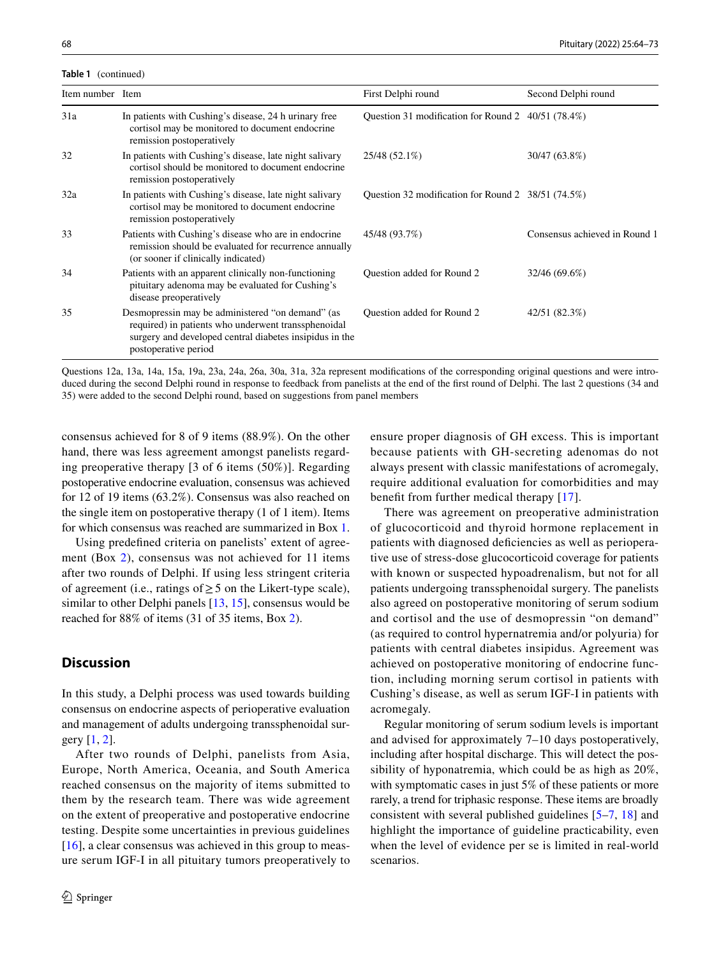**Table 1** (continued)

| Item number Item |                                                                                                                                                                                            | First Delphi round                                 | Second Delphi round           |
|------------------|--------------------------------------------------------------------------------------------------------------------------------------------------------------------------------------------|----------------------------------------------------|-------------------------------|
| 31a              | In patients with Cushing's disease, 24 h urinary free<br>cortisol may be monitored to document endocrine<br>remission postoperatively                                                      | Question 31 modification for Round 2 40/51 (78.4%) |                               |
| 32               | In patients with Cushing's disease, late night salivary<br>cortisol should be monitored to document endocrine<br>remission postoperatively                                                 | 25/48 (52.1%)                                      | 30/47 (63.8%)                 |
| 32a              | In patients with Cushing's disease, late night salivary<br>cortisol may be monitored to document endocrine<br>remission postoperatively                                                    | Question 32 modification for Round 2 38/51 (74.5%) |                               |
| 33               | Patients with Cushing's disease who are in endocrine<br>remission should be evaluated for recurrence annually<br>(or sooner if clinically indicated)                                       | 45/48 (93.7%)                                      | Consensus achieved in Round 1 |
| 34               | Patients with an apparent clinically non-functioning<br>pituitary adenoma may be evaluated for Cushing's<br>disease preoperatively                                                         | Question added for Round 2                         | 32/46 (69.6%)                 |
| 35               | Desmopressin may be administered "on demand" (as<br>required) in patients who underwent transsphenoidal<br>surgery and developed central diabetes insipidus in the<br>postoperative period | Question added for Round 2                         | 42/51 (82.3%)                 |

Questions 12a, 13a, 14a, 15a, 19a, 23a, 24a, 26a, 30a, 31a, 32a represent modifcations of the corresponding original questions and were introduced during the second Delphi round in response to feedback from panelists at the end of the frst round of Delphi. The last 2 questions (34 and 35) were added to the second Delphi round, based on suggestions from panel members

consensus achieved for 8 of 9 items (88.9%). On the other hand, there was less agreement amongst panelists regarding preoperative therapy [3 of 6 items (50%)]. Regarding postoperative endocrine evaluation, consensus was achieved for 12 of 19 items (63.2%). Consensus was also reached on the single item on postoperative therapy (1 of 1 item). Items for which consensus was reached are summarized in Box [1.](#page-5-0)

Using predefned criteria on panelists' extent of agreement (Box [2\)](#page-6-0), consensus was not achieved for 11 items after two rounds of Delphi. If using less stringent criteria of agreement (i.e., ratings of  $\geq$  5 on the Likert-type scale), similar to other Delphi panels [[13,](#page-8-4) [15\]](#page-8-6), consensus would be reached for 88% of items (31 of 35 items, Box [2](#page-6-0)).

## **Discussion**

In this study, a Delphi process was used towards building consensus on endocrine aspects of perioperative evaluation and management of adults undergoing transsphenoidal surgery [[1,](#page-8-0) [2\]](#page-8-7).

After two rounds of Delphi, panelists from Asia, Europe, North America, Oceania, and South America reached consensus on the majority of items submitted to them by the research team. There was wide agreement on the extent of preoperative and postoperative endocrine testing. Despite some uncertainties in previous guidelines [\[16\]](#page-8-8), a clear consensus was achieved in this group to measure serum IGF-I in all pituitary tumors preoperatively to ensure proper diagnosis of GH excess. This is important because patients with GH-secreting adenomas do not always present with classic manifestations of acromegaly, require additional evaluation for comorbidities and may benefit from further medical therapy [[17\]](#page-8-9).

There was agreement on preoperative administration of glucocorticoid and thyroid hormone replacement in patients with diagnosed defciencies as well as perioperative use of stress-dose glucocorticoid coverage for patients with known or suspected hypoadrenalism, but not for all patients undergoing transsphenoidal surgery. The panelists also agreed on postoperative monitoring of serum sodium and cortisol and the use of desmopressin "on demand" (as required to control hypernatremia and/or polyuria) for patients with central diabetes insipidus. Agreement was achieved on postoperative monitoring of endocrine function, including morning serum cortisol in patients with Cushing's disease, as well as serum IGF-I in patients with acromegaly.

Regular monitoring of serum sodium levels is important and advised for approximately 7–10 days postoperatively, including after hospital discharge. This will detect the possibility of hyponatremia, which could be as high as 20%, with symptomatic cases in just 5% of these patients or more rarely, a trend for triphasic response. These items are broadly consistent with several published guidelines [[5–](#page-8-2)[7,](#page-8-10) [18](#page-8-11)] and highlight the importance of guideline practicability, even when the level of evidence per se is limited in real-world scenarios.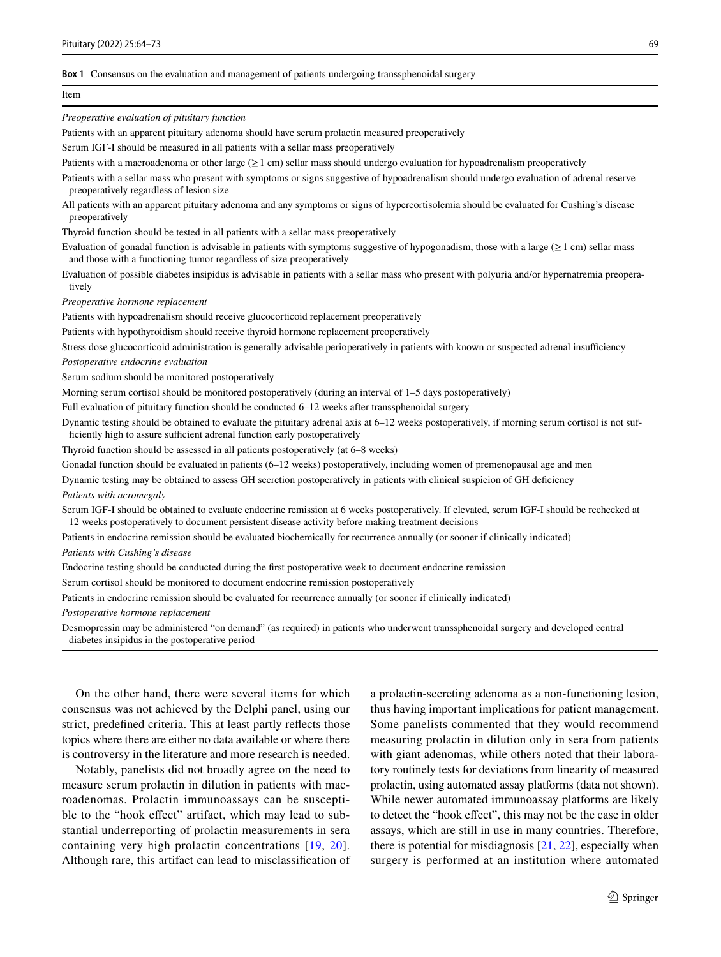#### <span id="page-5-0"></span>**Box 1** Consensus on the evaluation and management of patients undergoing transsphenoidal surgery

#### Item

*Preoperative evaluation of pituitary function*

Patients with an apparent pituitary adenoma should have serum prolactin measured preoperatively

Serum IGF-I should be measured in all patients with a sellar mass preoperatively

Patients with a macroadenoma or other large  $(≥1$  cm) sellar mass should undergo evaluation for hypoadrenalism preoperatively

Patients with a sellar mass who present with symptoms or signs suggestive of hypoadrenalism should undergo evaluation of adrenal reserve preoperatively regardless of lesion size

All patients with an apparent pituitary adenoma and any symptoms or signs of hypercortisolemia should be evaluated for Cushing's disease preoperatively

Thyroid function should be tested in all patients with a sellar mass preoperatively

Evaluation of gonadal function is advisable in patients with symptoms suggestive of hypogonadism, those with a large ( $\geq 1$  cm) sellar mass and those with a functioning tumor regardless of size preoperatively

Evaluation of possible diabetes insipidus is advisable in patients with a sellar mass who present with polyuria and/or hypernatremia preoperatively

*Preoperative hormone replacement*

Patients with hypoadrenalism should receive glucocorticoid replacement preoperatively

Patients with hypothyroidism should receive thyroid hormone replacement preoperatively

Stress dose glucocorticoid administration is generally advisable perioperatively in patients with known or suspected adrenal insufficiency

*Postoperative endocrine evaluation*

Serum sodium should be monitored postoperatively

Morning serum cortisol should be monitored postoperatively (during an interval of 1–5 days postoperatively)

Full evaluation of pituitary function should be conducted 6–12 weeks after transsphenoidal surgery

Dynamic testing should be obtained to evaluate the pituitary adrenal axis at 6–12 weeks postoperatively, if morning serum cortisol is not sufficiently high to assure sufficient adrenal function early postoperatively

Thyroid function should be assessed in all patients postoperatively (at 6–8 weeks)

Gonadal function should be evaluated in patients (6–12 weeks) postoperatively, including women of premenopausal age and men

Dynamic testing may be obtained to assess GH secretion postoperatively in patients with clinical suspicion of GH defciency

*Patients with acromegaly*

Serum IGF-I should be obtained to evaluate endocrine remission at 6 weeks postoperatively. If elevated, serum IGF-I should be rechecked at 12 weeks postoperatively to document persistent disease activity before making treatment decisions

Patients in endocrine remission should be evaluated biochemically for recurrence annually (or sooner if clinically indicated)

*Patients with Cushing's disease*

Endocrine testing should be conducted during the frst postoperative week to document endocrine remission

Serum cortisol should be monitored to document endocrine remission postoperatively

Patients in endocrine remission should be evaluated for recurrence annually (or sooner if clinically indicated)

*Postoperative hormone replacement*

Desmopressin may be administered "on demand" (as required) in patients who underwent transsphenoidal surgery and developed central diabetes insipidus in the postoperative period

On the other hand, there were several items for which consensus was not achieved by the Delphi panel, using our strict, predefned criteria. This at least partly refects those topics where there are either no data available or where there is controversy in the literature and more research is needed.

Notably, panelists did not broadly agree on the need to measure serum prolactin in dilution in patients with macroadenomas. Prolactin immunoassays can be susceptible to the "hook effect" artifact, which may lead to substantial underreporting of prolactin measurements in sera containing very high prolactin concentrations [[19,](#page-8-12) [20](#page-8-13)]. Although rare, this artifact can lead to misclassifcation of a prolactin-secreting adenoma as a non-functioning lesion, thus having important implications for patient management. Some panelists commented that they would recommend measuring prolactin in dilution only in sera from patients with giant adenomas, while others noted that their laboratory routinely tests for deviations from linearity of measured prolactin, using automated assay platforms (data not shown). While newer automated immunoassay platforms are likely to detect the "hook effect", this may not be the case in older assays, which are still in use in many countries. Therefore, there is potential for misdiagnosis [\[21](#page-8-14), [22\]](#page-8-15), especially when surgery is performed at an institution where automated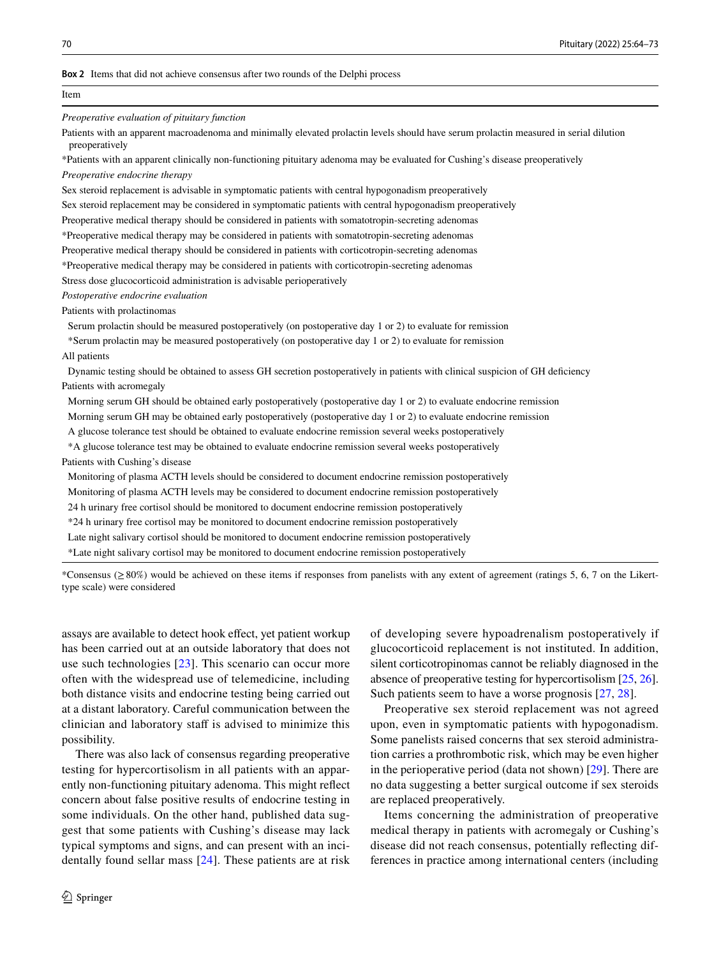#### <span id="page-6-0"></span>**Box 2** Items that did not achieve consensus after two rounds of the Delphi process

| Item                                                                                                                                                     |
|----------------------------------------------------------------------------------------------------------------------------------------------------------|
| Preoperative evaluation of pituitary function                                                                                                            |
| Patients with an apparent macroadenoma and minimally elevated prolactin levels should have serum prolactin measured in serial dilution<br>preoperatively |
| *Patients with an apparent clinically non-functioning pituitary adenoma may be evaluated for Cushing's disease preoperatively                            |
| Preoperative endocrine therapy                                                                                                                           |
| Sex steroid replacement is advisable in symptomatic patients with central hypogonadism preoperatively                                                    |
| Sex steroid replacement may be considered in symptomatic patients with central hypogonadism preoperatively                                               |
| Preoperative medical therapy should be considered in patients with somatotropin-secreting adenomas                                                       |
| *Preoperative medical therapy may be considered in patients with somatotropin-secreting adenomas                                                         |
| Preoperative medical therapy should be considered in patients with corticotropin-secreting adenomas                                                      |
| *Preoperative medical therapy may be considered in patients with corticotropin-secreting adenomas                                                        |
| Stress dose glucocorticoid administration is advisable perioperatively                                                                                   |
| Postoperative endocrine evaluation                                                                                                                       |
| Patients with prolactinomas                                                                                                                              |
| Serum prolactin should be measured postoperatively (on postoperative day 1 or 2) to evaluate for remission                                               |
| *Serum prolactin may be measured postoperatively (on postoperative day 1 or 2) to evaluate for remission                                                 |
| All patients                                                                                                                                             |
| Dynamic testing should be obtained to assess GH secretion postoperatively in patients with clinical suspicion of GH deficiency                           |
| Patients with acromegaly                                                                                                                                 |
| Morning serum GH should be obtained early postoperatively (postoperative day 1 or 2) to evaluate endocrine remission                                     |
| Morning serum GH may be obtained early postoperatively (postoperative day 1 or 2) to evaluate endocrine remission                                        |
| A glucose tolerance test should be obtained to evaluate endocrine remission several weeks postoperatively                                                |
| *A glucose tolerance test may be obtained to evaluate endocrine remission several weeks postoperatively                                                  |
| Patients with Cushing's disease                                                                                                                          |
| Monitoring of plasma ACTH levels should be considered to document endocrine remission postoperatively                                                    |
| Monitoring of plasma ACTH levels may be considered to document endocrine remission postoperatively                                                       |
| 24 h urinary free cortisol should be monitored to document endocrine remission postoperatively                                                           |
| *24 h urinary free cortisol may be monitored to document endocrine remission postoperatively                                                             |
| Late night salivary cortisol should be monitored to document endocrine remission postoperatively                                                         |
| *Late night salivary cortisol may be monitored to document endocrine remission postoperatively                                                           |
|                                                                                                                                                          |

\*Consensus (≥80%) would be achieved on these items if responses from panelists with any extent of agreement (ratings 5, 6, 7 on the Likerttype scale) were considered

assays are available to detect hook efect, yet patient workup has been carried out at an outside laboratory that does not use such technologies [\[23\]](#page-8-16). This scenario can occur more often with the widespread use of telemedicine, including both distance visits and endocrine testing being carried out at a distant laboratory. Careful communication between the clinician and laboratory staff is advised to minimize this possibility.

There was also lack of consensus regarding preoperative testing for hypercortisolism in all patients with an apparently non-functioning pituitary adenoma. This might refect concern about false positive results of endocrine testing in some individuals. On the other hand, published data suggest that some patients with Cushing's disease may lack typical symptoms and signs, and can present with an incidentally found sellar mass [[24](#page-8-17)]. These patients are at risk of developing severe hypoadrenalism postoperatively if glucocorticoid replacement is not instituted. In addition, silent corticotropinomas cannot be reliably diagnosed in the absence of preoperative testing for hypercortisolism [\[25,](#page-8-18) [26](#page-8-19)]. Such patients seem to have a worse prognosis [\[27](#page-8-20), [28](#page-8-21)].

Preoperative sex steroid replacement was not agreed upon, even in symptomatic patients with hypogonadism. Some panelists raised concerns that sex steroid administration carries a prothrombotic risk, which may be even higher in the perioperative period (data not shown) [[29\]](#page-9-0). There are no data suggesting a better surgical outcome if sex steroids are replaced preoperatively.

Items concerning the administration of preoperative medical therapy in patients with acromegaly or Cushing's disease did not reach consensus, potentially refecting differences in practice among international centers (including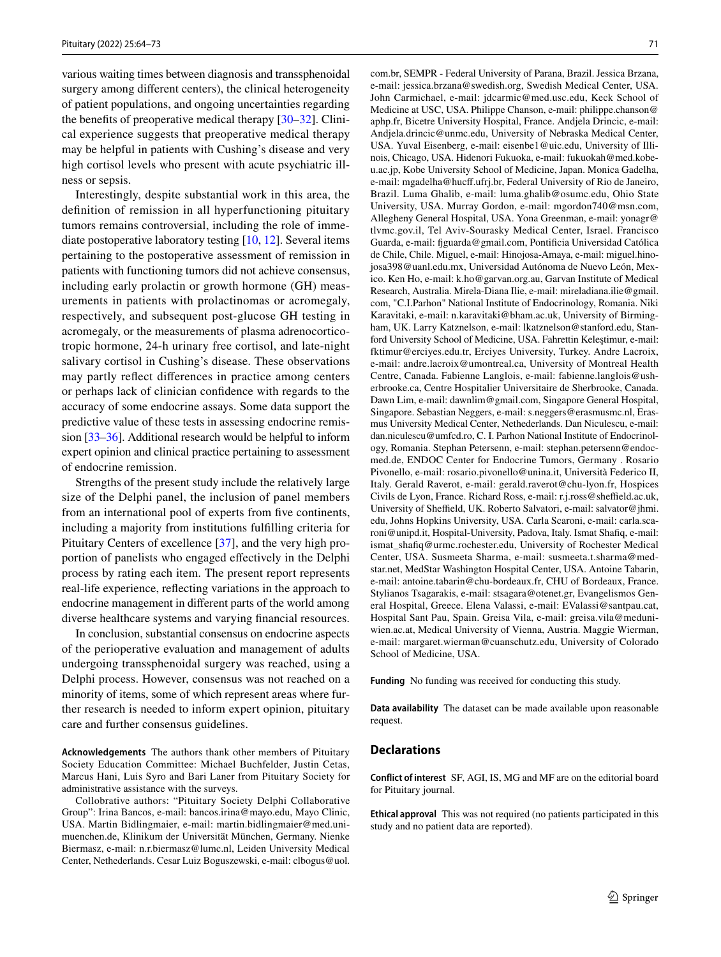various waiting times between diagnosis and transsphenoidal surgery among diferent centers), the clinical heterogeneity of patient populations, and ongoing uncertainties regarding the benefits of preoperative medical therapy  $[30-32]$  $[30-32]$ . Clinical experience suggests that preoperative medical therapy may be helpful in patients with Cushing's disease and very high cortisol levels who present with acute psychiatric illness or sepsis.

Interestingly, despite substantial work in this area, the defnition of remission in all hyperfunctioning pituitary tumors remains controversial, including the role of immediate postoperative laboratory testing [\[10](#page-8-22), [12\]](#page-8-3). Several items pertaining to the postoperative assessment of remission in patients with functioning tumors did not achieve consensus, including early prolactin or growth hormone (GH) measurements in patients with prolactinomas or acromegaly, respectively, and subsequent post-glucose GH testing in acromegaly, or the measurements of plasma adrenocorticotropic hormone, 24-h urinary free cortisol, and late-night salivary cortisol in Cushing's disease. These observations may partly refect diferences in practice among centers or perhaps lack of clinician confdence with regards to the accuracy of some endocrine assays. Some data support the predictive value of these tests in assessing endocrine remission [[33–](#page-9-3)[36\]](#page-9-4). Additional research would be helpful to inform expert opinion and clinical practice pertaining to assessment of endocrine remission.

Strengths of the present study include the relatively large size of the Delphi panel, the inclusion of panel members from an international pool of experts from five continents, including a majority from institutions fulflling criteria for Pituitary Centers of excellence [\[37](#page-9-5)], and the very high proportion of panelists who engaged efectively in the Delphi process by rating each item. The present report represents real-life experience, refecting variations in the approach to endocrine management in diferent parts of the world among diverse healthcare systems and varying fnancial resources.

In conclusion, substantial consensus on endocrine aspects of the perioperative evaluation and management of adults undergoing transsphenoidal surgery was reached, using a Delphi process. However, consensus was not reached on a minority of items, some of which represent areas where further research is needed to inform expert opinion, pituitary care and further consensus guidelines.

**Acknowledgements** The authors thank other members of Pituitary Society Education Committee: Michael Buchfelder, Justin Cetas, Marcus Hani, Luis Syro and Bari Laner from Pituitary Society for administrative assistance with the surveys.

Collobrative authors: "Pituitary Society Delphi Collaborative Group": Irina Bancos, e-mail: bancos.irina@mayo.edu, Mayo Clinic, USA. Martin Bidlingmaier, e-mail: martin.bidlingmaier@med.unimuenchen.de, Klinikum der Universität München, Germany. Nienke Biermasz, e-mail: n.r.biermasz@lumc.nl, Leiden University Medical Center, Nethederlands. Cesar Luiz Boguszewski, e-mail: clbogus@uol. com.br, SEMPR - Federal University of Parana, Brazil. Jessica Brzana, e-mail: jessica.brzana@swedish.org, Swedish Medical Center, USA. John Carmichael, e-mail: jdcarmic@med.usc.edu, Keck School of Medicine at USC, USA. Philippe Chanson, e-mail: philippe.chanson@ aphp.fr, Bicetre University Hospital, France. Andjela Drincic, e-mail: Andjela.drincic@unmc.edu, University of Nebraska Medical Center, USA. Yuval Eisenberg, e-mail: eisenbe1@uic.edu, University of Illinois, Chicago, USA. Hidenori Fukuoka, e-mail: fukuokah@med.kobeu.ac.jp, Kobe University School of Medicine, Japan. Monica Gadelha, e-mail: mgadelha@hucf.ufrj.br, Federal University of Rio de Janeiro, Brazil. Luma Ghalib, e-mail: luma.ghalib@osumc.edu, Ohio State University, USA. Murray Gordon, e-mail: mgordon740@msn.com, Allegheny General Hospital, USA. Yona Greenman, e-mail: yonagr@ tlvmc.gov.il, Tel Aviv-Sourasky Medical Center, Israel. Francisco Guarda, e-mail: fguarda@gmail.com, Pontifcia Universidad Católica de Chile, Chile. Miguel, e-mail: Hinojosa-Amaya, e-mail: miguel.hinojosa398@uanl.edu.mx, Universidad Autónoma de Nuevo León, Mexico. Ken Ho, e-mail: k.ho@garvan.org.au, Garvan Institute of Medical Research, Australia. Mirela-Diana Ilie, e-mail: mireladiana.ilie@gmail. com, "C.I.Parhon" National Institute of Endocrinology, Romania. Niki Karavitaki, e-mail: n.karavitaki@bham.ac.uk, University of Birmingham, UK. Larry Katznelson, e-mail: lkatznelson@stanford.edu, Stanford University School of Medicine, USA. Fahrettin Keleştimur, e-mail: fktimur@erciyes.edu.tr, Erciyes University, Turkey. Andre Lacroix, e-mail: andre.lacroix@umontreal.ca, University of Montreal Health Centre, Canada. Fabienne Langlois, e-mail: fabienne.langlois@usherbrooke.ca, Centre Hospitalier Universitaire de Sherbrooke, Canada. Dawn Lim, e-mail: dawnlim@gmail.com, Singapore General Hospital, Singapore. Sebastian Neggers, e-mail: s.neggers@erasmusmc.nl, Erasmus University Medical Center, Nethederlands. Dan Niculescu, e-mail: dan.niculescu@umfcd.ro, C. I. Parhon National Institute of Endocrinology, Romania. Stephan Petersenn, e-mail: stephan.petersenn@endocmed.de, ENDOC Center for Endocrine Tumors, Germany . Rosario Pivonello, e-mail: rosario.pivonello@unina.it, Università Federico II, Italy. Gerald Raverot, e-mail: gerald.raverot@chu-lyon.fr, Hospices Civils de Lyon, France. Richard Ross, e-mail: r.j.ross@sheffield.ac.uk, University of Sheffield, UK. Roberto Salvatori, e-mail: salvator@jhmi. edu, Johns Hopkins University, USA. Carla Scaroni, e-mail: carla.scaroni@unipd.it, Hospital-University, Padova, Italy. Ismat Shafiq, e-mail: ismat\_shafq@urmc.rochester.edu, University of Rochester Medical Center, USA. Susmeeta Sharma, e-mail: susmeeta.t.sharma@medstar.net, MedStar Washington Hospital Center, USA. Antoine Tabarin, e-mail: antoine.tabarin@chu-bordeaux.fr, CHU of Bordeaux, France. Stylianos Tsagarakis, e-mail: stsagara@otenet.gr, Evangelismos General Hospital, Greece. Elena Valassi, e-mail: EValassi@santpau.cat, Hospital Sant Pau, Spain. Greisa Vila, e-mail: greisa.vila@meduniwien.ac.at, Medical University of Vienna, Austria. Maggie Wierman, e-mail: margaret.wierman@cuanschutz.edu, University of Colorado School of Medicine, USA.

**Funding** No funding was received for conducting this study.

**Data availability** The dataset can be made available upon reasonable request.

### **Declarations**

**Conflict of interest** SF, AGI, IS, MG and MF are on the editorial board for Pituitary journal.

**Ethical approval** This was not required (no patients participated in this study and no patient data are reported).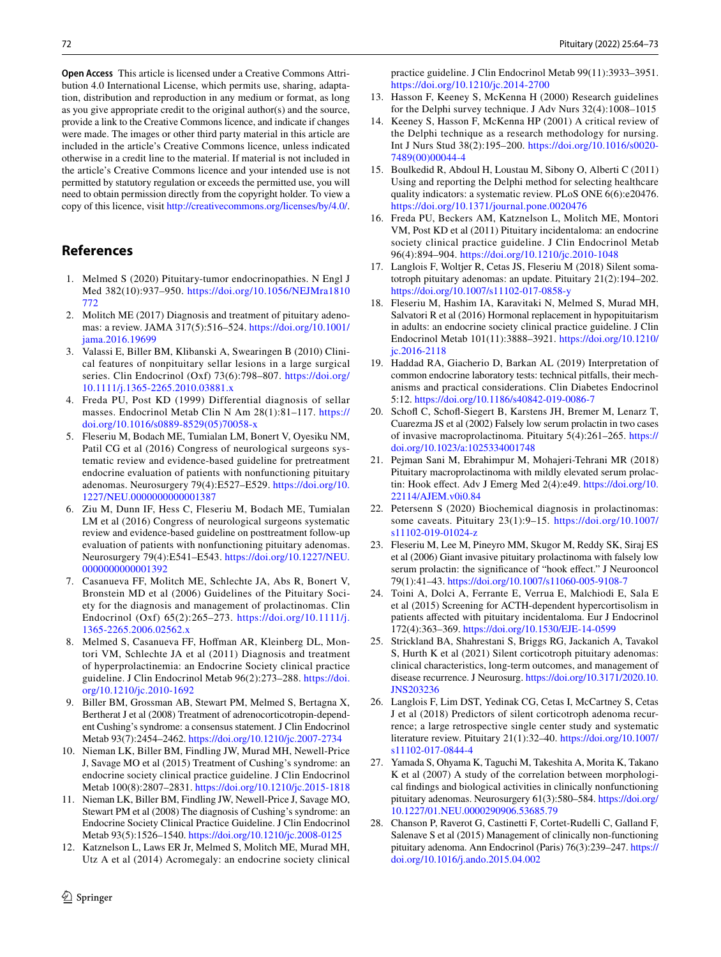**Open Access** This article is licensed under a Creative Commons Attribution 4.0 International License, which permits use, sharing, adaptation, distribution and reproduction in any medium or format, as long as you give appropriate credit to the original author(s) and the source, provide a link to the Creative Commons licence, and indicate if changes were made. The images or other third party material in this article are included in the article's Creative Commons licence, unless indicated otherwise in a credit line to the material. If material is not included in the article's Creative Commons licence and your intended use is not permitted by statutory regulation or exceeds the permitted use, you will need to obtain permission directly from the copyright holder. To view a copy of this licence, visit <http://creativecommons.org/licenses/by/4.0/>.

# **References**

- <span id="page-8-0"></span>1. Melmed S (2020) Pituitary-tumor endocrinopathies. N Engl J Med 382(10):937–950. [https://doi.org/10.1056/NEJMra1810](https://doi.org/10.1056/NEJMra1810772) [772](https://doi.org/10.1056/NEJMra1810772)
- <span id="page-8-7"></span>2. Molitch ME (2017) Diagnosis and treatment of pituitary adenomas: a review. JAMA 317(5):516–524. [https://doi.org/10.1001/](https://doi.org/10.1001/jama.2016.19699) [jama.2016.19699](https://doi.org/10.1001/jama.2016.19699)
- 3. Valassi E, Biller BM, Klibanski A, Swearingen B (2010) Clinical features of nonpituitary sellar lesions in a large surgical series. Clin Endocrinol (Oxf) 73(6):798–807. [https://doi.org/](https://doi.org/10.1111/j.1365-2265.2010.03881.x) [10.1111/j.1365-2265.2010.03881.x](https://doi.org/10.1111/j.1365-2265.2010.03881.x)
- <span id="page-8-1"></span>4. Freda PU, Post KD (1999) Differential diagnosis of sellar masses. Endocrinol Metab Clin N Am 28(1):81–117. [https://](https://doi.org/10.1016/s0889-8529(05)70058-x) [doi.org/10.1016/s0889-8529\(05\)70058-x](https://doi.org/10.1016/s0889-8529(05)70058-x)
- <span id="page-8-2"></span>5. Fleseriu M, Bodach ME, Tumialan LM, Bonert V, Oyesiku NM, Patil CG et al (2016) Congress of neurological surgeons systematic review and evidence-based guideline for pretreatment endocrine evaluation of patients with nonfunctioning pituitary adenomas. Neurosurgery 79(4):E527–E529. [https://doi.org/10.](https://doi.org/10.1227/NEU.0000000000001387) [1227/NEU.0000000000001387](https://doi.org/10.1227/NEU.0000000000001387)
- 6. Ziu M, Dunn IF, Hess C, Fleseriu M, Bodach ME, Tumialan LM et al (2016) Congress of neurological surgeons systematic review and evidence-based guideline on posttreatment follow-up evaluation of patients with nonfunctioning pituitary adenomas. Neurosurgery 79(4):E541–E543. [https://doi.org/10.1227/NEU.](https://doi.org/10.1227/NEU.0000000000001392) [0000000000001392](https://doi.org/10.1227/NEU.0000000000001392)
- <span id="page-8-10"></span>7. Casanueva FF, Molitch ME, Schlechte JA, Abs R, Bonert V, Bronstein MD et al (2006) Guidelines of the Pituitary Society for the diagnosis and management of prolactinomas. Clin Endocrinol (Oxf) 65(2):265–273. [https://doi.org/10.1111/j.](https://doi.org/10.1111/j.1365-2265.2006.02562.x) [1365-2265.2006.02562.x](https://doi.org/10.1111/j.1365-2265.2006.02562.x)
- 8. Melmed S, Casanueva FF, Hoffman AR, Kleinberg DL, Montori VM, Schlechte JA et al (2011) Diagnosis and treatment of hyperprolactinemia: an Endocrine Society clinical practice guideline. J Clin Endocrinol Metab 96(2):273–288. [https://doi.](https://doi.org/10.1210/jc.2010-1692) [org/10.1210/jc.2010-1692](https://doi.org/10.1210/jc.2010-1692)
- 9. Biller BM, Grossman AB, Stewart PM, Melmed S, Bertagna X, Bertherat J et al (2008) Treatment of adrenocorticotropin-dependent Cushing's syndrome: a consensus statement. J Clin Endocrinol Metab 93(7):2454–2462. <https://doi.org/10.1210/jc.2007-2734>
- <span id="page-8-22"></span>10. Nieman LK, Biller BM, Findling JW, Murad MH, Newell-Price J, Savage MO et al (2015) Treatment of Cushing's syndrome: an endocrine society clinical practice guideline. J Clin Endocrinol Metab 100(8):2807–2831.<https://doi.org/10.1210/jc.2015-1818>
- 11. Nieman LK, Biller BM, Findling JW, Newell-Price J, Savage MO, Stewart PM et al (2008) The diagnosis of Cushing's syndrome: an Endocrine Society Clinical Practice Guideline. J Clin Endocrinol Metab 93(5):1526–1540. <https://doi.org/10.1210/jc.2008-0125>
- <span id="page-8-3"></span>12. Katznelson L, Laws ER Jr, Melmed S, Molitch ME, Murad MH, Utz A et al (2014) Acromegaly: an endocrine society clinical

practice guideline. J Clin Endocrinol Metab 99(11):3933–3951. <https://doi.org/10.1210/jc.2014-2700>

- <span id="page-8-4"></span>13. Hasson F, Keeney S, McKenna H (2000) Research guidelines for the Delphi survey technique. J Adv Nurs 32(4):1008–1015
- <span id="page-8-5"></span>14. Keeney S, Hasson F, McKenna HP (2001) A critical review of the Delphi technique as a research methodology for nursing. Int J Nurs Stud 38(2):195–200. [https://doi.org/10.1016/s0020-](https://doi.org/10.1016/s0020-7489(00)00044-4) [7489\(00\)00044-4](https://doi.org/10.1016/s0020-7489(00)00044-4)
- <span id="page-8-6"></span>15. Boulkedid R, Abdoul H, Loustau M, Sibony O, Alberti C (2011) Using and reporting the Delphi method for selecting healthcare quality indicators: a systematic review. PLoS ONE 6(6):e20476. <https://doi.org/10.1371/journal.pone.0020476>
- <span id="page-8-8"></span>16. Freda PU, Beckers AM, Katznelson L, Molitch ME, Montori VM, Post KD et al (2011) Pituitary incidentaloma: an endocrine society clinical practice guideline. J Clin Endocrinol Metab 96(4):894–904.<https://doi.org/10.1210/jc.2010-1048>
- <span id="page-8-9"></span>17. Langlois F, Woltjer R, Cetas JS, Fleseriu M (2018) Silent somatotroph pituitary adenomas: an update. Pituitary 21(2):194–202. <https://doi.org/10.1007/s11102-017-0858-y>
- <span id="page-8-11"></span>18. Fleseriu M, Hashim IA, Karavitaki N, Melmed S, Murad MH, Salvatori R et al (2016) Hormonal replacement in hypopituitarism in adults: an endocrine society clinical practice guideline. J Clin Endocrinol Metab 101(11):3888–3921. [https://doi.org/10.1210/](https://doi.org/10.1210/jc.2016-2118) [jc.2016-2118](https://doi.org/10.1210/jc.2016-2118)
- <span id="page-8-12"></span>19. Haddad RA, Giacherio D, Barkan AL (2019) Interpretation of common endocrine laboratory tests: technical pitfalls, their mechanisms and practical considerations. Clin Diabetes Endocrinol 5:12. <https://doi.org/10.1186/s40842-019-0086-7>
- <span id="page-8-13"></span>20. Schoff C, Schoff-Siegert B, Karstens JH, Bremer M, Lenarz T, Cuarezma JS et al (2002) Falsely low serum prolactin in two cases of invasive macroprolactinoma. Pituitary 5(4):261–265. [https://](https://doi.org/10.1023/a:1025334001748) [doi.org/10.1023/a:1025334001748](https://doi.org/10.1023/a:1025334001748)
- <span id="page-8-14"></span>21. Pejman Sani M, Ebrahimpur M, Mohajeri-Tehrani MR (2018) Pituitary macroprolactinoma with mildly elevated serum prolactin: Hook effect. Adv J Emerg Med 2(4):e49. [https://doi.org/10.](https://doi.org/10.22114/AJEM.v0i0.84) [22114/AJEM.v0i0.84](https://doi.org/10.22114/AJEM.v0i0.84)
- <span id="page-8-15"></span>22. Petersenn S (2020) Biochemical diagnosis in prolactinomas: some caveats. Pituitary 23(1):9–15. [https://doi.org/10.1007/](https://doi.org/10.1007/s11102-019-01024-z) [s11102-019-01024-z](https://doi.org/10.1007/s11102-019-01024-z)
- <span id="page-8-16"></span>23. Fleseriu M, Lee M, Pineyro MM, Skugor M, Reddy SK, Siraj ES et al (2006) Giant invasive pituitary prolactinoma with falsely low serum prolactin: the significance of "hook effect." J Neurooncol 79(1):41–43. <https://doi.org/10.1007/s11060-005-9108-7>
- <span id="page-8-17"></span>24. Toini A, Dolci A, Ferrante E, Verrua E, Malchiodi E, Sala E et al (2015) Screening for ACTH-dependent hypercortisolism in patients afected with pituitary incidentaloma. Eur J Endocrinol 172(4):363–369. <https://doi.org/10.1530/EJE-14-0599>
- <span id="page-8-18"></span>25. Strickland BA, Shahrestani S, Briggs RG, Jackanich A, Tavakol S, Hurth K et al (2021) Silent corticotroph pituitary adenomas: clinical characteristics, long-term outcomes, and management of disease recurrence. J Neurosurg. [https://doi.org/10.3171/2020.10.](https://doi.org/10.3171/2020.10.JNS203236) [JNS203236](https://doi.org/10.3171/2020.10.JNS203236)
- <span id="page-8-19"></span>26. Langlois F, Lim DST, Yedinak CG, Cetas I, McCartney S, Cetas J et al (2018) Predictors of silent corticotroph adenoma recurrence; a large retrospective single center study and systematic literature review. Pituitary 21(1):32–40. [https://doi.org/10.1007/](https://doi.org/10.1007/s11102-017-0844-4) [s11102-017-0844-4](https://doi.org/10.1007/s11102-017-0844-4)
- <span id="page-8-20"></span>27. Yamada S, Ohyama K, Taguchi M, Takeshita A, Morita K, Takano K et al (2007) A study of the correlation between morphological fndings and biological activities in clinically nonfunctioning pituitary adenomas. Neurosurgery 61(3):580–584. [https://doi.org/](https://doi.org/10.1227/01.NEU.0000290906.53685.79) [10.1227/01.NEU.0000290906.53685.79](https://doi.org/10.1227/01.NEU.0000290906.53685.79)
- <span id="page-8-21"></span>28. Chanson P, Raverot G, Castinetti F, Cortet-Rudelli C, Galland F, Salenave S et al (2015) Management of clinically non-functioning pituitary adenoma. Ann Endocrinol (Paris) 76(3):239–247. [https://](https://doi.org/10.1016/j.ando.2015.04.002) [doi.org/10.1016/j.ando.2015.04.002](https://doi.org/10.1016/j.ando.2015.04.002)